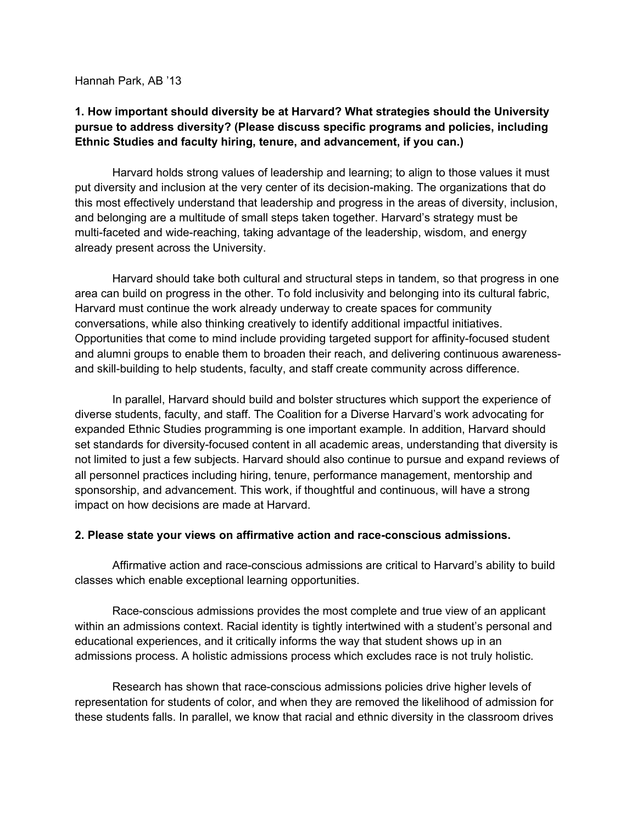Hannah Park, AB '13

# **1. How important should diversity be at Harvard? What strategies should the University pursue to address diversity? (Please discuss specific programs and policies, including Ethnic Studies and faculty hiring, tenure, and advancement, if you can.)**

Harvard holds strong values of leadership and learning; to align to those values it must put diversity and inclusion at the very center of its decision-making. The organizations that do this most effectively understand that leadership and progress in the areas of diversity, inclusion, and belonging are a multitude of small steps taken together. Harvard's strategy must be multi-faceted and wide-reaching, taking advantage of the leadership, wisdom, and energy already present across the University.

Harvard should take both cultural and structural steps in tandem, so that progress in one area can build on progress in the other. To fold inclusivity and belonging into its cultural fabric, Harvard must continue the work already underway to create spaces for community conversations, while also thinking creatively to identify additional impactful initiatives. Opportunities that come to mind include providing targeted support for affinity-focused student and alumni groups to enable them to broaden their reach, and delivering continuous awarenessand skill-building to help students, faculty, and staff create community across difference.

In parallel, Harvard should build and bolster structures which support the experience of diverse students, faculty, and staff. The Coalition for a Diverse Harvard's work advocating for expanded Ethnic Studies programming is one important example. In addition, Harvard should set standards for diversity-focused content in all academic areas, understanding that diversity is not limited to just a few subjects. Harvard should also continue to pursue and expand reviews of all personnel practices including hiring, tenure, performance management, mentorship and sponsorship, and advancement. This work, if thoughtful and continuous, will have a strong impact on how decisions are made at Harvard.

### **2. Please state your views on affirmative action and race-conscious admissions.**

Affirmative action and race-conscious admissions are critical to Harvard's ability to build classes which enable exceptional learning opportunities.

Race-conscious admissions provides the most complete and true view of an applicant within an admissions context. Racial identity is tightly intertwined with a student's personal and educational experiences, and it critically informs the way that student shows up in an admissions process. A holistic admissions process which excludes race is not truly holistic.

Research has shown that race-conscious admissions policies drive higher levels of representation for students of color, and when they are removed the likelihood of admission for these students falls. In parallel, we know that racial and ethnic diversity in the classroom drives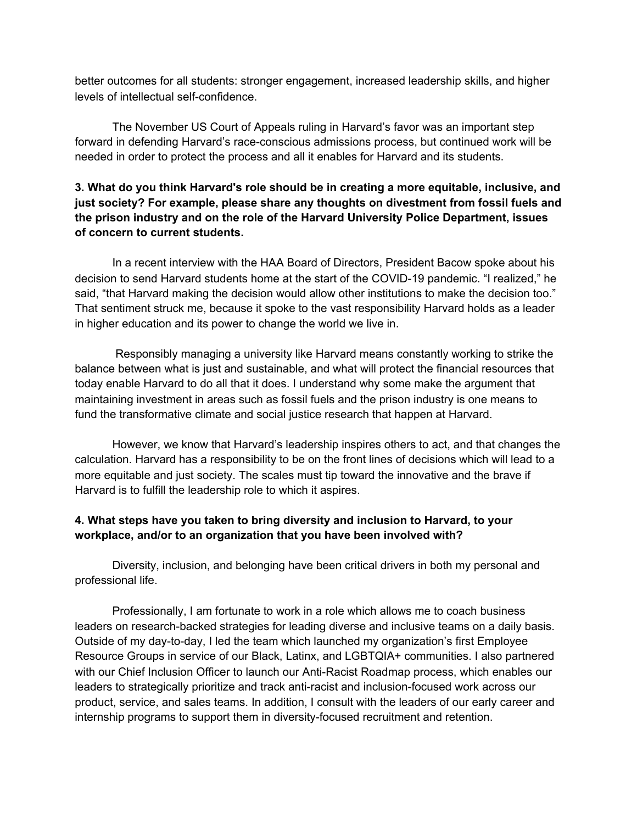better outcomes for all students: stronger engagement, increased leadership skills, and higher levels of intellectual self-confidence.

The November US Court of Appeals ruling in Harvard's favor was an important step forward in defending Harvard's race-conscious admissions process, but continued work will be needed in order to protect the process and all it enables for Harvard and its students.

# **3. What do you think Harvard's role should be in creating a more equitable, inclusive, and just society? For example, please share any thoughts on divestment from fossil fuels and the prison industry and on the role of the Harvard University Police Department, issues of concern to current students.**

In a recent interview with the HAA Board of Directors, President Bacow spoke about his decision to send Harvard students home at the start of the COVID-19 pandemic. "I realized," he said, "that Harvard making the decision would allow other institutions to make the decision too." That sentiment struck me, because it spoke to the vast responsibility Harvard holds as a leader in higher education and its power to change the world we live in.

Responsibly managing a university like Harvard means constantly working to strike the balance between what is just and sustainable, and what will protect the financial resources that today enable Harvard to do all that it does. I understand why some make the argument that maintaining investment in areas such as fossil fuels and the prison industry is one means to fund the transformative climate and social justice research that happen at Harvard.

However, we know that Harvard's leadership inspires others to act, and that changes the calculation. Harvard has a responsibility to be on the front lines of decisions which will lead to a more equitable and just society. The scales must tip toward the innovative and the brave if Harvard is to fulfill the leadership role to which it aspires.

# **4. What steps have you taken to bring diversity and inclusion to Harvard, to your workplace, and/or to an organization that you have been involved with?**

Diversity, inclusion, and belonging have been critical drivers in both my personal and professional life.

Professionally, I am fortunate to work in a role which allows me to coach business leaders on research-backed strategies for leading diverse and inclusive teams on a daily basis. Outside of my day-to-day, I led the team which launched my organization's first Employee Resource Groups in service of our Black, Latinx, and LGBTQIA+ communities. I also partnered with our Chief Inclusion Officer to launch our Anti-Racist Roadmap process, which enables our leaders to strategically prioritize and track anti-racist and inclusion-focused work across our product, service, and sales teams. In addition, I consult with the leaders of our early career and internship programs to support them in diversity-focused recruitment and retention.